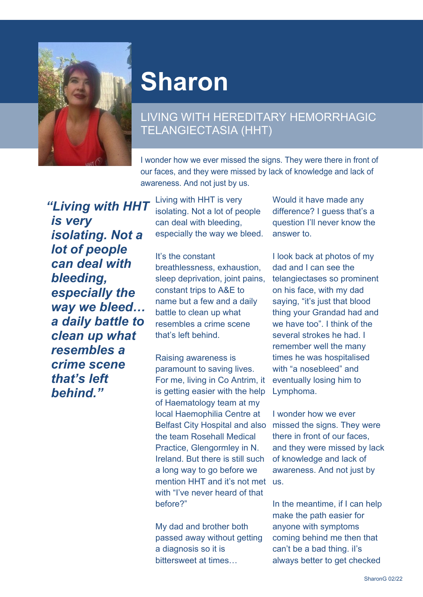

## **Sharon**

## LIVING WITH HEREDITARY HEMORRHAGIC TELANGIECTASIA (HHT)

I wonder how we ever missed the signs. They were there in front of our faces, and they were missed by lack of knowledge and lack of awareness. And not just by us.

*"Living with HHT is very isolating. Not a lot of people can deal with bleeding, especially the way we bleed… a daily battle to clean up what resembles a crime scene that's left behind."*

Living with HHT is very isolating. Not a lot of people can deal with bleeding, especially the way we bleed.

It's the constant breathlessness, exhaustion, sleep deprivation, joint pains, constant trips to A&E to name but a few and a daily battle to clean up what resembles a crime scene that's left behind.

Raising awareness is paramount to saving lives. For me, living in Co Antrim, it is getting easier with the help of Haematology team at my local Haemophilia Centre at Belfast City Hospital and also missed the signs. They were the team Rosehall Medical Practice, Glengormley in N. Ireland. But there is still such a long way to go before we mention HHT and it's not met us. with "I've never heard of that before?"

My dad and brother both passed away without getting a diagnosis so it is bittersweet at times…

Would it have made any difference? I guess that's a question I'll never know the answer to.

I look back at photos of my dad and I can see the telangiectases so prominent on his face, with my dad saying, "it's just that blood thing your Grandad had and we have too". I think of the several strokes he had. I remember well the many times he was hospitalised with "a nosebleed" and eventually losing him to Lymphoma.

I wonder how we ever there in front of our faces, and they were missed by lack of knowledge and lack of awareness. And not just by

In the meantime, if I can help make the path easier for anyone with symptoms coming behind me then that can't be a bad thing. iI's always better to get checked